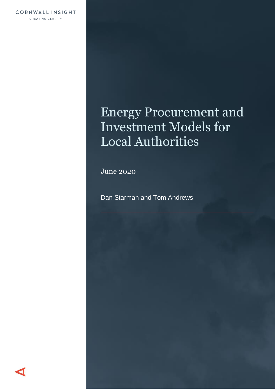# Energy Procurement and Investment Models for Local Authorities

June 2020

Dan Starman and Tom Andrews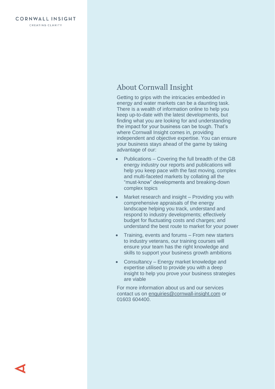## About Cornwall Insight

Getting to grips with the intricacies embedded in energy and water markets can be a daunting task. There is a wealth of information online to help you keep up-to-date with the latest developments, but finding what you are looking for and understanding the impact for your business can be tough. That's where Cornwall Insight comes in, providing independent and objective expertise. You can ensure your business stays ahead of the game by taking advantage of our:

- Publications Covering the full breadth of the GB energy industry our reports and publications will help you keep pace with the fast moving, complex and multi-faceted markets by collating all the "must-know" developments and breaking-down complex topics
- Market research and insight Providing you with comprehensive appraisals of the energy landscape helping you track, understand and respond to industry developments; effectively budget for fluctuating costs and charges; and understand the best route to market for your power
- Training, events and forums From new starters to industry veterans, our training courses will ensure your team has the right knowledge and skills to support your business growth ambitions
- Consultancy Energy market knowledge and expertise utilised to provide you with a deep insight to help you prove your business strategies are viable

For more information about us and our services contact us on [enquiries@cornwall-insight.com](mailto:enquiries@cornwall-insight.com) or 01603 604400.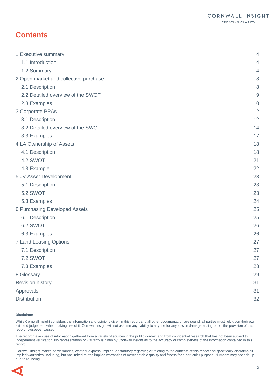## **Contents**

| 1 Executive summary                   | $\overline{4}$ |
|---------------------------------------|----------------|
| 1.1 Introduction                      | $\overline{4}$ |
| 1.2 Summary                           | $\overline{4}$ |
| 2 Open market and collective purchase | $\,8\,$        |
| 2.1 Description                       | $\,8\,$        |
| 2.2 Detailed overview of the SWOT     | $9$            |
| 2.3 Examples                          | 10             |
| 3 Corporate PPAs                      | 12             |
| 3.1 Description                       | 12             |
| 3.2 Detailed overview of the SWOT     | 14             |
| 3.3 Examples                          | 17             |
| 4 LA Ownership of Assets              | 18             |
| 4.1 Description                       | 18             |
| 4.2 SWOT                              | 21             |
| 4.3 Example                           | 22             |
| 5 JV Asset Development                | 23             |
| 5.1 Description                       | 23             |
| <b>5.2 SWOT</b>                       | 23             |
| 5.3 Examples                          | 24             |
| <b>6 Purchasing Developed Assets</b>  | 25             |
| 6.1 Description                       | 25             |
| 6.2 SWOT                              | 26             |
| 6.3 Examples                          | 26             |
| <b>7 Land Leasing Options</b>         | 27             |
| 7.1 Description                       | 27             |
| 7.2 SWOT                              | 27             |
| 7.3 Examples                          | 28             |
| 8 Glossary                            | 29             |
| <b>Revision history</b>               | 31             |
| Approvals                             | 31             |
| <b>Distribution</b>                   | 32             |

#### **Disclaimer**

While Cornwall Insight considers the information and opinions given in this report and all other documentation are sound, all parties must rely upon their own skill and judgement when making use of it. Cornwall Insight will not assume any liability to anyone for any loss or damage arising out of the provision of this report howsoever caused.

The report makes use of information gathered from a variety of sources in the public domain and from confidential research that has not been subject to independent verification. No representation or warranty is given by Cornwall Insight as to the accuracy or completeness of the information contained in this report.

Cornwall Insight makes no warranties, whether express, implied, or statutory regarding or relating to the contents of this report and specifically disclaims all implied warranties, including, but not limited to, the implied warranties of merchantable quality and fitness for a particular purpose. Numbers may not add up due to rounding.

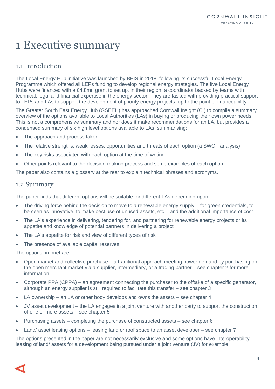## <span id="page-3-0"></span>1 Executive summary

## <span id="page-3-1"></span>1.1 Introduction

The Local Energy Hub initiative was launched by BEIS in 2018, following its successful Local Energy Programme which offered all LEPs funding to develop regional energy strategies. The five Local Energy Hubs were financed with a £4.8mn grant to set up, in their region, a coordinator backed by teams with technical, legal and financial expertise in the energy sector. They are tasked with providing practical support to LEPs and LAs to support the development of priority energy projects, up to the point of financeability.

The Greater South East Energy Hub (GSEEH) has approached Cornwall Insight (CI) to compile a summary overview of the options available to Local Authorities (LAs) in buying or producing their own power needs. This is not a comprehensive summary and nor does it make recommendations for an LA, but provides a condensed summary of six high level options available to LAs, summarising:

- The approach and process taken
- The relative strengths, weaknesses, opportunities and threats of each option (a SWOT analysis)
- The key risks associated with each option at the time of writing
- Other points relevant to the decision-making process and some examples of each option

The paper also contains a glossary at the rear to explain technical phrases and acronyms.

#### <span id="page-3-2"></span>1.2 Summary

The paper finds that different options will be suitable for different LAs depending upon:

- The driving force behind the decision to move to a renewable energy supply for green credentials, to be seen as innovative, to make best use of unused assets, etc – and the additional importance of cost
- The LA's experience in delivering, tendering for, and partnering for renewable energy projects or its appetite and knowledge of potential partners in delivering a project
- The LA's appetite for risk and view of different types of risk
- The presence of available capital reserves

The options, in brief are:

- Open market and collective purchase a traditional approach meeting power demand by purchasing on the open merchant market via a supplier, intermediary, or a trading partner – see chapter 2 for more information
- Corporate PPA (CPPA) an agreement connecting the purchaser to the offtake of a specific generator, although an energy supplier is still required to facilitate this transfer – see chapter 3
- LA ownership an LA or other body develops and owns the assets see chapter  $4$
- JV asset development the LA engages in a joint venture with another party to support the construction of one or more assets – see chapter 5
- Purchasing assets completing the purchase of constructed assets see chapter 6
- Land/ asset leasing options leasing land or roof space to an asset developer see chapter 7

The options presented in the paper are not necessarily exclusive and some options have interoperability – leasing of land/ assets for a development being pursued under a joint venture (JV) for example.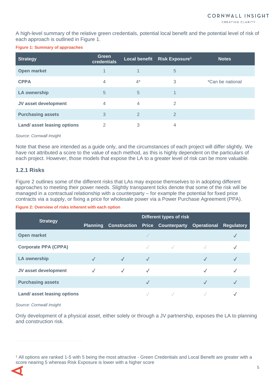CREATING CLARITY

A high-level summary of the relative green credentials, potential local benefit and the potential level of risk of each approach is outlined in [Figure 1.](#page-4-0)

#### <span id="page-4-0"></span>**Figure 1: Summary of approaches**

| <b>Strategy</b>                   | <b>Green</b><br>credentials |              | Local benefit Risk Exposure <sup>1</sup> | <b>Notes</b>     |
|-----------------------------------|-----------------------------|--------------|------------------------------------------|------------------|
| Open market                       | 1                           |              | 5                                        |                  |
| <b>CPPA</b>                       | 4                           | $4^*$        | 3                                        | *Can be national |
| <b>LA ownership</b>               | 5                           | 5            | 1                                        |                  |
| JV asset development              | 4                           | 4            | $\mathfrak{D}$                           |                  |
| <b>Purchasing assets</b>          | 3                           | $\mathbf{2}$ | $\mathfrak{D}$                           |                  |
| <b>Land/asset leasing options</b> | 2                           | 3            | 4                                        |                  |

#### *Source: Cornwall Insight*

Note that these are intended as a guide only, and the circumstances of each project will differ slightly. We have not attributed a score to the value of each method, as this is highly dependent on the particulars of each project. However, those models that expose the LA to a greater level of risk can be more valuable.

#### **1.2.1 Risks**

[Figure 2](#page-4-1) outlines some of the different risks that LAs may expose themselves to in adopting different approaches to meeting their power needs. Slightly transparent ticks denote that some of the risk will be managed in a contractual relationship with a counterparty – for example the potential for fixed price contracts via a supply, or fixing a price for wholesale power via a Power Purchase Agreement (PPA).

#### <span id="page-4-1"></span>**Figure 2: Overview of risks inherent with each option**

| <b>Strategy</b>                   | Different types of risk |  |  |                                                                 |   |  |
|-----------------------------------|-------------------------|--|--|-----------------------------------------------------------------|---|--|
|                                   |                         |  |  | Planning Construction Price Counterparty Operational Regulatory |   |  |
| Open market                       |                         |  |  |                                                                 |   |  |
| <b>Corporate PPA (CPPA)</b>       |                         |  |  |                                                                 |   |  |
| <b>LA ownership</b>               | $\checkmark$            |  |  |                                                                 |   |  |
| JV asset development              | √                       |  |  |                                                                 | ✓ |  |
| <b>Purchasing assets</b>          |                         |  |  |                                                                 |   |  |
| <b>Land/asset leasing options</b> |                         |  |  |                                                                 |   |  |

#### *Source: Cornwall Insight*

Only development of a physical asset, either solely or through a JV partnership, exposes the LA to planning and construction risk.

<sup>1</sup> All options are ranked 1-5 with 5 being the most attractive - Green Credentials and Local Benefit are greater with a score nearing 5 whereas Risk Exposure is lower with a higher score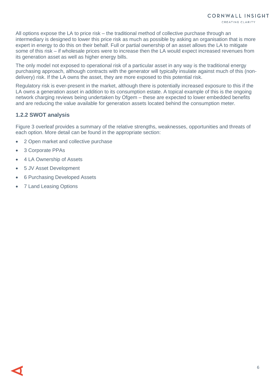All options expose the LA to price risk – the traditional method of collective purchase through an intermediary is designed to lower this price risk as much as possible by asking an organisation that is more expert in energy to do this on their behalf. Full or partial ownership of an asset allows the LA to mitigate some of this risk – if wholesale prices were to increase then the LA would expect increased revenues from its generation asset as well as higher energy bills.

The only model not exposed to operational risk of a particular asset in any way is the traditional energy purchasing approach, although contracts with the generator will typically insulate against much of this (nondelivery) risk. If the LA owns the asset, they are more exposed to this potential risk.

Regulatory risk is ever-present in the market, although there is potentially increased exposure to this if the LA owns a generation asset in addition to its consumption estate. A topical example of this is the ongoing network charging reviews being undertaken by Ofgem – these are expected to lower embedded benefits and are reducing the value available for generation assets located behind the consumption meter.

#### **1.2.2 SWOT analysis**

[Figure 3](#page-6-0) overleaf provides a summary of the relative strengths, weaknesses, opportunities and threats of each option. More detail can be found in the appropriate section:

- 2 Open market [and collective purchase](#page-7-0)
- 3 [Corporate PPAs](#page-11-0)
- 4 [LA Ownership of Assets](#page-17-0)
- 5 [JV Asset Development](#page-22-0)
- 6 [Purchasing Developed Assets](#page-24-0)
- 7 [Land Leasing Options](#page-26-0)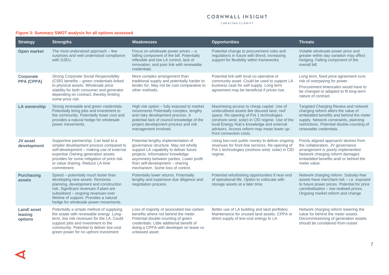#### CORNWALL INSIGHT

CREATING CLARITY

<span id="page-6-0"></span>

| <b>Strategy</b>                         | <b>Strengths</b>                                                                                                                                                                                                                                                                     | Weaknesses                                                                                                                                                                                                                                                                   | <b>Opportunities</b>                                                                                                                                                                                                                                                                                           | <b>Threats</b>                                                                                                                                                                                                                         |
|-----------------------------------------|--------------------------------------------------------------------------------------------------------------------------------------------------------------------------------------------------------------------------------------------------------------------------------------|------------------------------------------------------------------------------------------------------------------------------------------------------------------------------------------------------------------------------------------------------------------------------|----------------------------------------------------------------------------------------------------------------------------------------------------------------------------------------------------------------------------------------------------------------------------------------------------------------|----------------------------------------------------------------------------------------------------------------------------------------------------------------------------------------------------------------------------------------|
| <b>Open market</b>                      | The most understood approach – few<br>surprises and well understood compliance<br>with OJEU.                                                                                                                                                                                         | Focus on wholesale power prices - a<br>falling component of the bill. Potentially<br>inflexible and low LA control, lack of<br>innovation, and poor link with renewable<br>credentials                                                                                       | Potential change to procurement rules and<br>regulations in future with Brexit, increasing<br>support for flexibility within frameworks                                                                                                                                                                        | Volatile wholesale power price and<br>greater within day variation may affect<br>hedging. Falling component of the<br>overall bill.                                                                                                    |
| Corporate<br><b>PPA (CPPA)</b>          | <b>Strong Corporate Social Responsibility</b><br>(CSR) benefits - green credentials linked<br>to physical assets. Wholesale price<br>stability for both consumer and generator<br>depending on contract, thereby limiting<br>some price risk.                                        | More complex arrangement than<br>traditional supply and potentially harder to<br>tender for. May not be cost comparative to<br>other methods.                                                                                                                                | Potential link with local co-operative or<br>community asset. Could be used to support LA<br>business case for self-supply. Long term<br>agreement may be beneficial if prices rise.                                                                                                                           | Long term, fixed price agreement runs<br>risk of overpaying for power.<br>Procurement timescales would have to<br>be changed or adapted to fit long-term<br>nature of contract                                                         |
| <b>LA ownership</b>                     | Strong renewable and green credentials.<br>Potentially bring jobs and investment to<br>the community. Potentially lower cost and<br>provides a natural hedge for wholesale<br>power movements.                                                                                       | High risk option - fully exposed to market<br>movements Potentially complex, lengthy<br>and risky development process. A<br>potential lack of council knowledge of the<br>project development process and risk<br>management involved.                                       | Maximising access to cheap capital. Use of<br>underutilised assets like disused land, roof<br>space. Re-opening of Pot 1 technologies<br>(onshore wind, solar) in CfD regime. Use of the<br>local Energy Hub's knowledge and external<br>advisors. Access reform may mean lower up-<br>front connection costs. | Targeted Charging Review and network<br>charging reform alters the value of<br>embedded benefits and behind the meter<br>supply. Network constraints, planning<br>restrictions. Potential double-counting of<br>renewable credentials. |
| <b>JV</b> asset<br>development          | Supportive partnership. Can lead to a<br>simpler development process compared to<br>self-development - making use of external<br>expertise Owning generation assets<br>provides for some mitigation of price risk<br>or value sharing. Reduce LA time<br>commitment.                 | Potential lengthy implementation of<br>governance structure. May not wholly<br>support LA capability to deliver future<br>projects. Information/ knowledge<br>asymmetry between parties. Lower profit<br>than self-development - sharing<br>mechanism. Some loss of control. | Using low-cost public money to deliver ongoing<br>revenues for front-line services. Re-opening of<br>Pot 1 technologies (onshore wind, solar) in CfD<br>regime.                                                                                                                                                | Poorly aligned approach/ desires from<br>the collaboration. JV governance<br>arrangement is poorly implemented.<br>Network charging reform damages<br>embedded benefits and/ or behind the<br>meter value.                             |
| <b>Purchasing</b><br>assets             | Speed - potentially much faster than<br>developing new assets. Removes<br>planning, development and construction<br>risk. Significant revenues if plant are<br>subsidised - ongoing revenues over<br>lifetime of support. Provides a natural<br>hedge for wholesale power movements. | Potentially lower returns. Potentially<br>lengthy and expensive due diligence and<br>negotiation process.                                                                                                                                                                    | Potential refurbishing opportunities if near end<br>of operational life. Option to collocate with<br>storage assets at a later time.                                                                                                                                                                           | Network charging reform. Subsidy-free<br>assets have merchant risk - i.e. exposed<br>to future power prices. Potential for price<br>cannibalisation - low realised prices.<br>Ongoing market reform and change                         |
| <b>Land/asset</b><br>leasing<br>options | Potentially a simple method of supplying<br>the estate with renewable energy. Long-<br>term, low risk revenues for the LA. Could<br>support jobs and investment to the<br>community. Potential to deliver low-cost<br>green power for no upfront investment                          | Loss of majority of associated low-carbon<br>benefits where not behind the meter.<br>Potential double-counting of green<br>credentials. Little additional benefit of<br>doing a CPPA with developer on lease vs<br>unleased asset.                                           | Better use of LA building and land portfolios.<br>Maintenance for unused land assets, CPPA or<br>direct supply of low-cost energy to LA                                                                                                                                                                        | Network charging reform lowering the<br>value for behind the meter assets.<br>Decommissioning of generation assets<br>should be considered from outset                                                                                 |

#### **Figure 3: Summary SWOT analysis for all options assessed**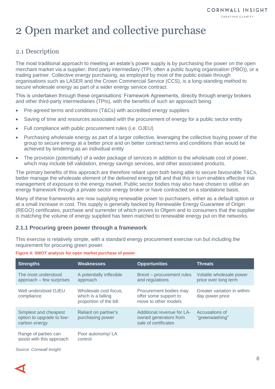## <span id="page-7-0"></span>2 Open market and collective purchase

## <span id="page-7-1"></span>2.1 Description

The most traditional approach to meeting an estate's power supply is by purchasing the power on the open merchant market via a supplier, third party intermediary (TPI, often a public buying organisation (PBO)), or a trading partner. Collective energy purchasing, as employed by most of the public estate through organisations such as LASER and the Crown Commercial Service (CCS), is a long-standing method to secure wholesale energy as part of a wider energy service contract.

This is undertaken through these organisations' Framework Agreements, directly through energy brokers and other third-party intermediaries (TPIs), with the benefits of such an approach being:

- Pre-agreed terms and conditions (T&Cs) with accredited energy suppliers
- Saving of time and resources associated with the procurement of energy for a public sector entity
- Full compliance with public procurement rules (i.e. OJEU)
- Purchasing wholesale energy as part of a larger collective, leveraging the collective buying power of the group to secure energy at a better price and on better contract terms and conditions than would be achieved by tendering as an individual entity
- The provision (potentially) of a wider package of services in addition to the wholesale cost of power, which may include bill validation, energy savings services, and other associated products.

The primary benefits of this approach are therefore reliant upon both being able to secure favourable T&Cs, better manage the wholesale element of the delivered energy bill and that this in turn enables effective risk management of exposure to the energy market. Public sector bodies may also have chosen to utilise an energy framework through a private sector energy broker or have contracted on a standalone basis.

Many of these frameworks are now supplying renewable power to purchasers, either as a default option or at a small increase in cost. This supply is generally backed by Renewable Energy Guarantee of Origin (REGO) certificates, purchase and surrender of which proves to Ofgem and to consumers that the supplier is matching the volume of energy supplied has been matched to renewable energy put on the networks.

#### **2.1.1 Procuring green power through a framework**

This exercise is relatively simple, with a standard energy procurement exercise run but including the requirement for procuring green power.

| <b>Strengths</b>                                                    | <b>Weaknesses</b>                                                     | <b>Opportunities</b>                                                        | <b>Threats</b>                                   |
|---------------------------------------------------------------------|-----------------------------------------------------------------------|-----------------------------------------------------------------------------|--------------------------------------------------|
| The most understood<br>approach - few surprises                     | A potentially inflexible<br>approach                                  | Brexit - procurement rules<br>and regulations                               | Volatile wholesale power<br>price over long term |
| Well understood OJEU<br>compliance                                  | Wholesale cost focus.<br>which is a falling<br>proportion of the bill | Procurement bodies may<br>offer some support to<br>move to other models     | Greater variation in within-<br>day power price  |
| Simplest and cheapest<br>option to upgrade to low-<br>carbon energy | Reliant on partner's<br>purchasing power                              | Additional revenue for LA-<br>owned generators from<br>sale of certificates | Accusations of<br>"greenwashing"                 |
| Range of parties can<br>assist with this approach                   | Poor autonomy/LA<br>control                                           |                                                                             |                                                  |

**Figure 4: SWOT analysis for open market purchase of power**

*Source: Cornwall Insight*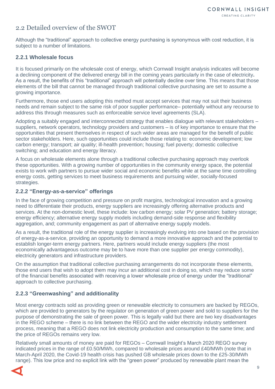## <span id="page-8-0"></span>2.2 Detailed overview of the SWOT

Although the "traditional" approach to collective energy purchasing is synonymous with cost reduction, it is subject to a number of limitations.

#### **2.2.1 Wholesale focus**

It is focused primarily on the wholesale cost of energy, which Cornwall Insight analysis indicates will become a declining component of the delivered energy bill in the coming years particularly in the case of electricity**.** As a result, the benefits of this "traditional" approach will potentially decline over time. This means that those elements of the bill that cannot be managed through traditional collective purchasing are set to assume a growing importance.

Furthermore, those end users adopting this method must accept services that may not suit their business needs and remain subject to the same risk of poor supplier performance– potentially without any recourse to address this through measures such as enforceable service level agreements (SLA).

Adopting a suitably engaged and interconnected strategy that enables dialogue with relevant stakeholders – suppliers, network operators, technology providers and customers – is of key importance to ensure that the opportunities that present themselves in respect of such wider areas are managed for the benefit of public sector stakeholders. Here, such opportunities could include those relating to: economic development; low carbon energy; transport; air quality; ill-health prevention; housing; fuel poverty; domestic collective switching; and education and energy literacy.

A focus on wholesale elements alone through a traditional collective purchasing approach may overlook these opportunities. With a growing number of opportunities in the community energy space, the potential exists to work with partners to pursue wider social and economic benefits while at the same time controlling energy costs, getting services to meet business requirements and pursuing wider, socially-focused strategies.

#### **2.2.2 "Energy-as-a-service" offerings**

In the face of growing competition and pressure on profit margins, technological innovation and a growing need to differentiate their products, energy suppliers are increasingly offering alternative products and services. At the non-domestic level, these include: low carbon energy; solar PV generation; battery storage; energy efficiency; alternative energy supply models including demand-side response and flexibility aggregation, and; community engagement as part of alternative energy supply models.

As a result, the traditional role of the energy supplier is increasingly evolving into one based on the provision of energy-as-a-service, providing an opportunity to demand a more innovative approach and the potential to establish longer-term energy partners. Here, partners would include energy suppliers (the most economically advantageous outcome may be to have more than one supplier per energy commodity), electricity generators and infrastructure providers.

On the assumption that traditional collective purchasing arrangements do not incorporate these elements, those end users that wish to adopt them may incur an additional cost in doing so, which may reduce some of the financial benefits associated with receiving a lower wholesale price of energy under the "traditional" approach to collective purchasing.

#### **2.2.3 "Greenwashing" and additionality**

Most energy contracts sold as providing green or renewable electricity to consumers are backed by REGOs, which are provided to generators by the regulator on generation of green power and sold to suppliers for the purpose of demonstrating the sale of green power. This is legally valid but there are two key disadvantages in the REGO scheme – there is no link between the REGO and the wider electricity industry settlement process, meaning that a REGO does not link electricity production and consumption to the same time; and the price of REGOs remains very low.

Relatively small amounts of money are paid for REGOs – Cornwall Insight's March 2020 REGO survey indicated prices in the range of £0.50/MWh, compared to wholesale prices around £40/MWh (note that in March-April 2020, the Covid-19 health crisis has pushed GB wholesale prices down to the £25-30/MWh range). This low price and no explicit link with the "green power" produced by renewable plant mean the

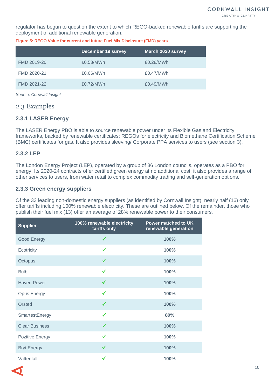regulator has begun to question the extent to which REGO-backed renewable tariffs are supporting the deployment of additional renewable generation.

| <b>December 19 survey</b> | March 2020 survey |
|---------------------------|-------------------|
| £0.53/MWh                 | £0.28/MWh         |
| £0.66/MWh                 | £0.47/MWh         |
| £0.72/MWh                 | £0.49/MWh         |
|                           |                   |

**Figure 5: REGO Value for current and future Fuel Mix Disclosure (FMD) years**

*Source: Cornwall Insight*

#### <span id="page-9-0"></span>2.3 Examples

#### **2.3.1 LASER Energy**

The LASER Energy PBO is able to source renewable power under its Flexible Gas and Electricity frameworks, backed by renewable certificates: REGOs for electricity and Biomethane Certification Scheme (BMC) certificates for gas. It also provides sleeving/ Corporate PPA services to users (see section [3\)](#page-11-0).

#### **2.3.2 LEP**

The London Energy Project (LEP), operated by a group of 36 London councils, operates as a PBO for energy. Its 2020-24 contracts offer certified green energy at no additional cost; it also provides a range of other services to users, from water retail to complex commodity trading and self-generation options.

#### **2.3.3 Green energy suppliers**

Of the 33 leading non-domestic energy suppliers (as identified by Cornwall Insight), nearly half (16) only offer tariffs including 100% renewable electricity. These are outlined below. Of the remainder, those who publish their fuel mix (13) offer an average of 28% renewable power to their consumers.

| <b>Supplier</b>        | 100% renewable electricity<br>tariffs only | <b>Power matched to UK</b><br>renewable generation |
|------------------------|--------------------------------------------|----------------------------------------------------|
| Good Energy            | $\checkmark$                               | 100%                                               |
| Ecotricity             | ✔                                          | 100%                                               |
| Octopus                | ✓                                          | 100%                                               |
| <b>Bulb</b>            | ✔                                          | 100%                                               |
| <b>Haven Power</b>     |                                            | 100%                                               |
| <b>Opus Energy</b>     | ✓                                          | 100%                                               |
| Orsted                 | $\checkmark$                               | 100%                                               |
| SmartestEnergy         | $\checkmark$                               | 80%                                                |
| <b>Clear Business</b>  | $\checkmark$                               | 100%                                               |
| <b>Pozitive Energy</b> | ✔                                          | 100%                                               |
| <b>Bryt Energy</b>     |                                            | 100%                                               |
| Vattenfall             |                                            | 100%                                               |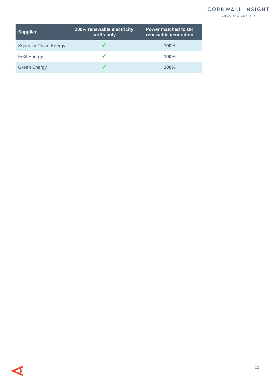### CORNWALL INSIGHT

CREATING CLARITY

| <b>Supplier</b>             | 100% renewable electricity<br>tariffs only | <b>Power matched to UK</b><br>renewable generation |
|-----------------------------|--------------------------------------------|----------------------------------------------------|
| <b>Squeaky Clean Energy</b> |                                            | 100%                                               |
| <b>F&amp;S Energy</b>       |                                            | 100%                                               |
| <b>Green Energy</b>         |                                            | 100%                                               |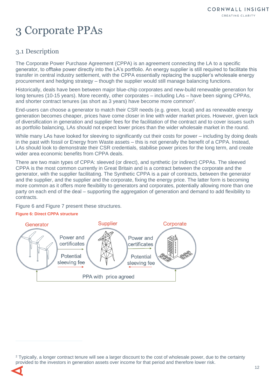## <span id="page-11-0"></span>3 Corporate PPAs

## <span id="page-11-1"></span>3.1 Description

The Corporate Power Purchase Agreement (CPPA) is an agreement connecting the LA to a specific generator, to offtake power directly into the LA's portfolio. An energy supplier is still required to facilitate this transfer in central industry settlement, with the CPPA essentially replacing the supplier's wholesale energy procurement and hedging strategy – though the supplier would still manage balancing functions.

Historically, deals have been between major blue-chip corporates and new-build renewable generation for long tenures (10-15 years). More recently, other corporates – including LAs – have been signing CPPAs, and shorter contract tenures (as short as 3 years) have become more common<sup>2</sup>.

End-users can choose a generator to match their CSR needs (e.g. green, local) and as renewable energy generation becomes cheaper, prices have come closer in line with wider market prices. However, given lack of diversification in generation and supplier fees for the facilitation of the contract and to cover issues such as portfolio balancing, LAs should not expect lower prices than the wider wholesale market in the round.

While many LAs have looked for sleeving to significantly cut their costs for power – including by doing deals in the past with fossil or Energy from Waste assets – this is not generally the benefit of a CPPA. Instead, LAs should look to demonstrate their CSR credentials, stabilise power prices for the long term, and create wider area economic benefits from CPPA deals.

There are two main types of CPPA: sleeved (or direct), and synthetic (or indirect) CPPAs. The sleeved CPPA is the most common currently in Great Britain and is a contract between the corporate and the generator, with the supplier facilitating. The Synthetic CPPA is a pair of contracts, between the generator and the supplier, and the supplier and the corporate, fixing the energy price. The latter form is becoming more common as it offers more flexibility to generators and corporates, potentially allowing more than one party on each end of the deal – supporting the aggregation of generation and demand to add flexibility to contracts.

[Figure 6](#page-11-2) and [Figure 7](#page-12-0) present these structures.

#### <span id="page-11-2"></span>**Figure 6: Direct CPPA structure**



<sup>&</sup>lt;sup>2</sup> Typically, a longer contract tenure will see a larger discount to the cost of wholesale power, due to the certainty provided to the investors in generation assets over income for that period and therefore lower risk.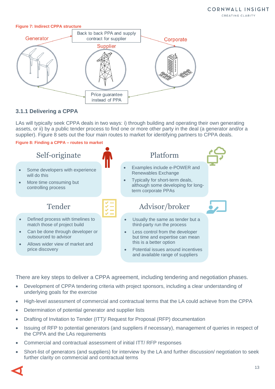#### <span id="page-12-0"></span>**Figure 7: Indirect CPPA structure**



### **3.1.1 Delivering a CPPA**

LAs will typically seek CPPA deals in two ways: i) through building and operating their own generating assets, or ii) by a public tender process to find one or more other party in the deal (a generator and/or a supplier). [Figure 8](#page-12-1) sets out the four main routes to market for identifying partners to CPPA deals.

<span id="page-12-1"></span>**Figure 8: Finding a CPPA – routes to market**



There are key steps to deliver a CPPA agreement, including tendering and negotiation phases.

- Development of CPPA tendering criteria with project sponsors, including a clear understanding of underlying goals for the exercise
- High-level assessment of commercial and contractual terms that the LA could achieve from the CPPA
- Determination of potential generator and supplier lists
- Drafting of Invitation to Tender (ITT)/ Request for Proposal (RFP) documentation
- Issuing of RFP to potential generators (and suppliers if necessary), management of queries in respect of the CPPA and the LAs requirements
- Commercial and contractual assessment of initial ITT/ RFP responses
- Short-list of generators (and suppliers) for interview by the LA and further discussion/ negotiation to seek further clarity on commercial and contractual terms

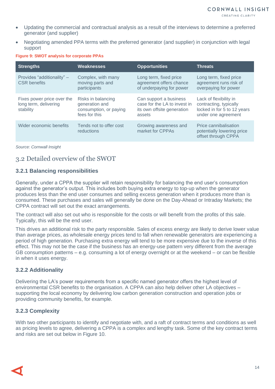- Updating the commercial and contractual analysis as a result of the interviews to determine a preferred generator (and supplier)
- Negotiating amended PPA terms with the preferred generator (and supplier) in conjunction with legal support

#### **Figure 9: SWOT analysis for corporate PPAs**

| <b>Strengths</b>                                                 | <b>Weaknesses</b>                                                               | <b>Opportunities</b>                                                                           | <b>Threats</b>                                                                                         |
|------------------------------------------------------------------|---------------------------------------------------------------------------------|------------------------------------------------------------------------------------------------|--------------------------------------------------------------------------------------------------------|
| Provides "additionality" -<br><b>CSR</b> benefits                | Complex, with many<br>moving parts and<br>participants                          | Long term, fixed price<br>agreement offers chance<br>of underpaying for power                  | Long term, fixed price<br>agreement runs risk of<br>overpaying for power                               |
| Fixes power price over the<br>long term, delivering<br>stability | Risks in balancing<br>generation and<br>consumption, or paying<br>fees for this | Can support a business<br>case for the LA to invest in<br>its own offsite generation<br>assets | Lack of flexibility in<br>contracting, typically<br>locked in for 5 to 12 years<br>under one agreement |
| Wider economic benefits                                          | Tends not to offer cost<br>reductions                                           | Growing awareness and<br>market for CPPAs                                                      | Price cannibalisation<br>potentially lowering price<br>offset through CPPA                             |

*Source: Cornwall Insight*

## <span id="page-13-0"></span>3.2 Detailed overview of the SWOT

#### **3.2.1 Balancing responsibilities**

Generally, under a CPPA the supplier will retain responsibility for balancing the end user's consumption against the generator's output. This includes both buying extra energy to top-up when the generator produces less than the end user consumes and selling excess generation when it produces more than is consumed. These purchases and sales will generally be done on the Day-Ahead or Intraday Markets; the CPPA contract will set out the exact arrangements.

The contract will also set out who is responsible for the costs or will benefit from the profits of this sale. Typically, this will be the end user.

This drives an additional risk to the party responsible. Sales of excess energy are likely to derive lower value than average prices, as wholesale energy prices tend to fall when renewable generators are experiencing a period of high generation. Purchasing extra energy will tend to be more expensive due to the inverse of this effect. This may not be the case if the business has an energy-use pattern very different from the average GB consumption patterns – e.g. consuming a lot of energy overnight or at the weekend – or can be flexible in when it uses energy.

#### **3.2.2 Additionality**

Delivering the LA's power requirements from a specific named generator offers the highest level of environmental CSR benefits to the organisation. A CPPA can also help deliver other LA objectives – supporting the local economy by delivering low carbon generation construction and operation jobs or providing community benefits, for example.

#### **3.2.3 Complexity**

With two other participants to identify and negotiate with, and a raft of contract terms and conditions as well as pricing levels to agree, delivering a CPPA is a complex and lengthy task. Some of the key contract terms and risks are set out below in [Figure 10.](#page-14-0)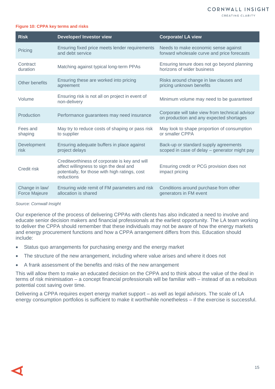CREATING CLARITY

#### <span id="page-14-0"></span>**Figure 10: CPPA key terms and risks**

| <b>Risk</b>                     | <b>Developer/Investor view</b>                                                                                                                           | <b>Corporate/ LA view</b>                                                                   |
|---------------------------------|----------------------------------------------------------------------------------------------------------------------------------------------------------|---------------------------------------------------------------------------------------------|
| Pricing                         | Ensuring fixed price meets lender requirements<br>and debt service                                                                                       | Needs to make economic sense against<br>forward wholesale curve and price forecasts         |
| Contract<br>duration            | Matching against typical long-term PPAs                                                                                                                  | Ensuring tenure does not go beyond planning<br>horizons of wider business                   |
| Other benefits                  | Ensuring these are worked into pricing<br>agreement                                                                                                      | Risks around change in law clauses and<br>pricing unknown benefits                          |
| Volume                          | Ensuring risk is not all on project in event of<br>non-delivery                                                                                          | Minimum volume may need to be guaranteed                                                    |
| Production                      | Performance guarantees may need insurance                                                                                                                | Corporate will take view from technical advisor<br>on production and any expected shortages |
| Fees and<br>shaping             | May try to reduce costs of shaping or pass risk<br>to supplier                                                                                           | May look to shape proportion of consumption<br>or smaller CPPA                              |
| Development<br>risk             | Ensuring adequate buffers in place against<br>project delays                                                                                             | Back-up or standard supply agreements<br>scoped in case of delay - generator might pay      |
| <b>Credit risk</b>              | Creditworthiness of corporate is key and will<br>affect willingness to sign the deal and<br>potentially, for those with high ratings, cost<br>reductions | Ensuring credit or PCG provision does not<br>impact pricing                                 |
| Change in law/<br>Force Majeure | Ensuring wide remit of FM parameters and risk<br>allocation is shared                                                                                    | Conditions around purchase from other<br>generators in FM event                             |

#### *Source: Cornwall Insight*

Our experience of the process of delivering CPPAs with clients has also indicated a need to involve and educate senior decision makers and financial professionals at the earliest opportunity. The LA team working to deliver the CPPA should remember that these individuals may not be aware of how the energy markets and energy procurement functions and how a CPPA arrangement differs from this. Education should include:

- Status quo arrangements for purchasing energy and the energy market
- The structure of the new arrangement, including where value arises and where it does not
- A frank assessment of the benefits and risks of the new arrangement

This will allow them to make an educated decision on the CPPA and to think about the value of the deal in terms of risk minimisation – a concept financial professionals will be familiar with – instead of as a nebulous potential cost saving over time.

Delivering a CPPA requires expert energy market support – as well as legal advisors. The scale of LA energy consumption portfolios is sufficient to make it worthwhile nonetheless – if the exercise is successful.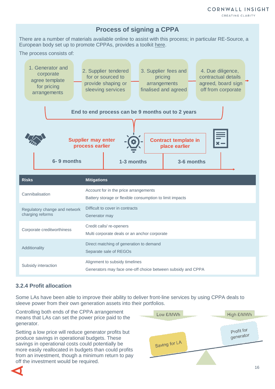#### CREATING CLARITY



There are a number of materials available online to assist with this process; in particular RE-Source, a European body set up to promote CPPAs, provides a toolkit [here.](http://resource-platform.eu/toolkit/)

The process consists of:

| 1. Generator and<br>corporate<br>agree template<br>for pricing<br>arrangements                                                                                                              | 2. Supplier tendered<br>for or sourced to<br>provide shaping or<br>sleeving services              | 3. Supplier fees and<br>pricing<br>arrangements<br>finalised and agreed |  | 4. Due diligence,<br>contractual details<br>agreed, board sign<br>off from corporate |  |
|---------------------------------------------------------------------------------------------------------------------------------------------------------------------------------------------|---------------------------------------------------------------------------------------------------|-------------------------------------------------------------------------|--|--------------------------------------------------------------------------------------|--|
| End to end process can be 9 months out to 2 years<br><b>Supplier may enter</b><br><b>Contract template in</b><br>process earlier<br>place earlier<br>6-9 months<br>1-3 months<br>3-6 months |                                                                                                   |                                                                         |  |                                                                                      |  |
| <b>Risks</b>                                                                                                                                                                                | <b>Mitigations</b>                                                                                |                                                                         |  |                                                                                      |  |
| Cannibalisation                                                                                                                                                                             | Account for in the price arrangements<br>Battery storage or flexible consumption to limit impacts |                                                                         |  |                                                                                      |  |
| Regulatory change and network<br>charging reforms                                                                                                                                           | Difficult to cover in contracts<br>Generator may                                                  |                                                                         |  |                                                                                      |  |
| Corporate creditworthiness                                                                                                                                                                  | Credit calls/re-openers<br>Multi corporate deals or an anchor corporate                           |                                                                         |  |                                                                                      |  |
| Additionality                                                                                                                                                                               | Direct matching of generation to demand<br>Separate sale of REGOs                                 |                                                                         |  |                                                                                      |  |
| Subsidy interaction                                                                                                                                                                         | Alignment to subsidy timelines<br>Generators may face one-off choice between subsidy and CPPA     |                                                                         |  |                                                                                      |  |

#### **3.2.4 Profit allocation**

Some LAs have been able to improve their ability to deliver front-line services by using CPPA deals to sleeve power from their own generation assets into their portfolios.

Controlling both ends of the CPPA arrangement means that LAs can set the power price paid to the generator.

Setting a low price will reduce generator profits but produce savings in operational budgets. These savings in operational costs could potentially be more easily reallocated in budgets than could profits from an investment, though a minimum return to pay off the investment would be required.



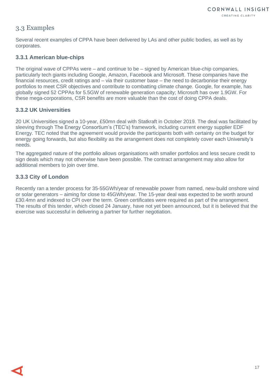## <span id="page-16-0"></span>3.3 Examples

Several recent examples of CPPA have been delivered by LAs and other public bodies, as well as by corporates.

#### **3.3.1 American blue-chips**

The original wave of CPPAs were – and continue to be – signed by American blue-chip companies, particularly tech giants including Google, Amazon, Facebook and Microsoft. These companies have the financial resources, credit ratings and – via their customer base – the need to decarbonise their energy portfolios to meet CSR objectives and contribute to combatting climate change. Google, for example, has globally signed 52 CPPAs for 5.5GW of renewable generation capacity; Microsoft has over 1.9GW. For these mega-corporations, CSR benefits are more valuable than the cost of doing CPPA deals.

#### **3.3.2 UK Universities**

20 UK Universities signed a 10-year, £50mn deal with Statkraft in October 2019. The deal was facilitated by sleeving through The Energy Consortium's (TEC's) framework, including current energy supplier EDF Energy. TEC noted that the agreement would provide the participants both with certainty on the budget for energy going forwards, but also flexibility as the arrangement does not completely cover each University's needs.

The aggregated nature of the portfolio allows organisations with smaller portfolios and less secure credit to sign deals which may not otherwise have been possible. The contract arrangement may also allow for additional members to join over time.

#### **3.3.3 City of London**

Recently ran a tender process for 35-55GWh/year of renewable power from named, new-build onshore wind or solar generators – aiming for close to 45GWh/year. The 15-year deal was expected to be worth around £30.4mn and indexed to CPI over the term. Green certificates were required as part of the arrangement. The results of this tender, which closed 24 January, have not yet been announced, but it is believed that the exercise was successful in delivering a partner for further negotiation.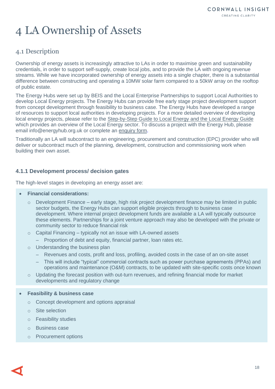# <span id="page-17-0"></span>4 LA Ownership of Assets

## <span id="page-17-1"></span>4.1 Description

Ownership of energy assets is increasingly attractive to LAs in order to maximise green and sustainability credentials, in order to support self-supply, create local jobs, and to provide the LA with ongoing revenue streams. While we have incorporated ownership of energy assets into a single chapter, there is a substantial difference between constructing and operating a 10MW solar farm compared to a 50kW array on the rooftop of public estate.

The Energy Hubs were set up by BEIS and the Local Enterprise Partnerships to support Local Authorities to develop Local Energy projects. The Energy Hubs can provide free early stage project development support from concept development through feasibility to business case. The Energy Hubs have developed a range of resources to support local authorities in developing projects. For a more detailed overview of developing local energy projects, please refer to the [Step-by-Step Guide to Local Energy](https://www.energyhub.org.uk/wp-content/uploads/2020/03/Step-by-Step-Guide-to-Local-Energy.pdf) and the Local Energy Guide which provides an overview of the Local Energy sector. To discuss a project with the Energy Hub, please email [info@energyhub.org.uk](mailto:info@energyhub.org.uk) or complete an [enquiry form.](https://www.energyhub.org.uk/wp-content/uploads/2019/09/GSEEH-Enquiry-Form.pdf)

Traditionally an LA will subcontract to an engineering, procurement and construction (EPC) provider who will deliver or subcontract much of the planning, development, construction and commissioning work when building their own asset.

#### **4.1.1 Development process/ decision gates**

The high-level stages in developing an energy asset are:

- **Financial considerations:**
	- $\circ$  Development Finance early stage, high risk project development finance may be limited in public sector budgets, the Energy Hubs can support eligible projects through to business case development. Where internal project development funds are available a LA will typically outsource these elements. Partnerships for a joint venture approach may also be developed with the private or community sector to reduce financial risk
	- o Capital Financing typically not an issue with LA-owned assets
		- Proportion of debt and equity, financial partner, loan rates etc.
	- o Understanding the business plan
		- Revenues and costs, profit and loss, profiling, avoided costs in the case of an on-site asset
		- This will include "typical" commercial contracts such as power purchase agreements (PPAs) and operations and maintenance (O&M) contracts, to be updated with site-specific costs once known
	- $\circ$  Updating the forecast position with out-turn revenues, and refining financial mode for market developments and regulatory change
- **Feasibility & business case**
	- o Concept development and options appraisal
	- o Site selection
	- o Feasibility studies
	- o Business case
	- o Procurement options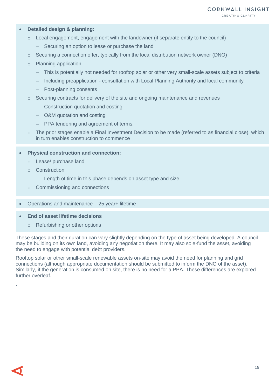#### • **Detailed design & planning:**

- o Local engagement, engagement with the landowner (if separate entity to the council)
	- Securing an option to lease or purchase the land
- $\circ$  Securing a connection offer, typically from the local distribution network owner (DNO)
- o Planning application
	- This is potentially not needed for rooftop solar or other very small-scale assets subject to criteria
	- Including preapplication consultation with Local Planning Authority and local community
	- Post-planning consents
- o Securing contracts for delivery of the site and ongoing maintenance and revenues
	- Construction quotation and costing
	- O&M quotation and costing
	- PPA tendering and agreement of terms.
- $\circ$  The prior stages enable a Final Investment Decision to be made (referred to as financial close), which in turn enables construction to commence

#### • **Physical construction and connection:**

- o Lease/ purchase land
- o Construction
	- Length of time in this phase depends on asset type and size
- o Commissioning and connections
- Operations and maintenance 25 year+ lifetime
- **End of asset lifetime decisions**
	- o Refurbishing or other options

These stages and their duration can vary slightly depending on the type of asset being developed. A council may be building on its own land, avoiding any negotiation there. It may also sole-fund the asset, avoiding the need to engage with potential debt providers.

Rooftop solar or other small-scale renewable assets on-site may avoid the need for planning and grid connections (although appropriate documentation should be submitted to inform the DNO of the asset). Similarly, if the generation is consumed on site, there is no need for a PPA. These differences are explored further overleaf.

.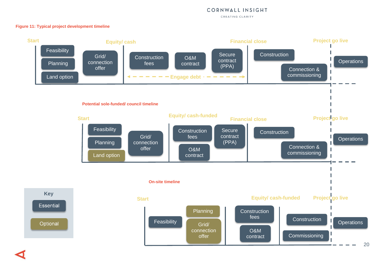#### CORNWALL INSIGHT

CREATING CLARITY

#### **Figure 11: Typical project development timeline**

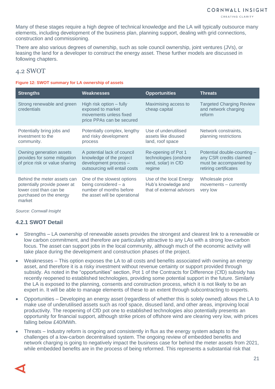Many of these stages require a high degree of technical knowledge and the LA will typically outsource many elements, including development of the business plan, planning support, dealing with grid connections, construction and commissioning.

There are also various degrees of ownership, such as sole council ownership, joint ventures (JVs), or leasing the land for a developer to construct the energy asset. These further models are discussed in following chapters.

### <span id="page-20-0"></span>4.2 SWOT

#### **Figure 12: SWOT summary for LA ownership of assets**

| <b>Strengths</b>                                                                                                           | Weaknesses                                                                                                        | <b>Opportunities</b>                                                          | <b>Threats</b>                                                                                            |
|----------------------------------------------------------------------------------------------------------------------------|-------------------------------------------------------------------------------------------------------------------|-------------------------------------------------------------------------------|-----------------------------------------------------------------------------------------------------------|
| Strong renewable and green<br>credentials                                                                                  | High risk option – fully<br>exposed to market<br>movements unless fixed<br>price PPAs can be secured              | Maximising access to<br>cheap capital                                         | <b>Targeted Charging Review</b><br>and network charging<br>reform                                         |
| Potentially bring jobs and<br>investment to the<br>community.                                                              | Potentially complex, lengthy<br>and risky development<br>process                                                  | Use of underutilised<br>assets like disused<br>land, roof space               | Network constraints,<br>planning restrictions                                                             |
| Owning generation assets<br>provides for some mitigation<br>of price risk or value sharing                                 | A potential lack of council<br>knowledge of the project<br>development process -<br>outsourcing will entail costs | Re-opening of Pot 1<br>technologies (onshore<br>wind, solar) in CfD<br>regime | Potential double-counting -<br>any CSR credits claimed<br>must be accompanied by<br>retiring certificates |
| Behind the meter assets can<br>potentially provide power at<br>lower cost than can be<br>purchased on the energy<br>market | One of the slowest options<br>being considered - a<br>number of months before<br>the asset will be operational    | Use of the local Energy<br>Hub's knowledge and<br>that of external advisors   | Wholesale price<br>movements - currently<br>very low                                                      |

*Source: Cornwall Insight*

#### **4.2.1 SWOT Detail**

- Strengths LA ownership of renewable assets provides the strongest and clearest link to a renewable or low carbon commitment, and therefore are particularly attractive to any LAs with a strong low-carbon focus. The asset can support jobs in the local community, although much of the economic activity will take place during the development and construction phases of the project.
- Weaknesses This option exposes the LA to all costs and benefits associated with owning an energy asset, and therefore it is a risky investment without revenue certainty or support provided through subsidy. As noted in the "opportunities" section, Pot 1 of the Contracts for Difference (CfD) subsidy has recently reopened to established technologies, providing some potential support in the future. Similarly the LA is exposed to the planning, consents and construction process, which it is not likely to be an expert in. It will be able to manage elements of these to an extent through subcontracting to experts.
- Opportunities Developing an energy asset (regardless of whether this is solely owned) allows the LA to make use of underutilised assets such as roof space, disused land, and other areas, improving local productivity. The reopening of CfD pot one to established technologies also potentially presents an opportunity for financial support, although strike prices of offshore wind are clearing very low, with prices falling below £40/MWh.
- Threats Industry reform is ongoing and consistently in flux as the energy system adapts to the challenges of a low-carbon decentralised system. The ongoing review of embedded benefits and network charging is going to negatively impact the business case for behind the meter assets from 2021, while embedded benefits are in the process of being reformed. This represents a substantial risk that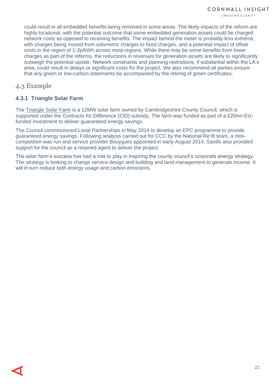could result in all embedded benefits being removed in some areas. The likely impacts of the reform are highly locational, with the potential outcome that some embedded generation assets could be charged network costs as opposed to receiving benefits. The impact behind the meter is probably less extreme, with charges being moved from volumetric charges to fixed charges, and a potential impact of offset costs in the region of 1-2p/kWh across most regions. While there may be some benefits from lower charges as part of the reforms, the reductions in revenues for generation assets are likely to significantly outweigh the potential upside. Network constraints and planning restrictions, if substantial within the LA's area, could result in delays or significant costs for the project. We also recommend all parties ensure that any green or low-carbon statements be accompanied by the retiring of green certificates.

### <span id="page-21-0"></span>4.3 Example

#### **4.3.1 Triangle Solar Farm**

The [Triangle Solar Farm](https://www.mlei.co.uk/projects/renewable-energy-storage/north-angle-solar-farm/case-study-triangle-farm) is a 12MW solar farm owned by Cambridgeshire County Council, which is supported under the Contracts for Difference (CfD) subsidy. The farm was funded as part of a £20mn EUfunded investment to deliver guaranteed energy savings.

The Council commissioned Local Partnerships in May 2014 to develop an EPC programme to provide guaranteed energy savings. Following analysis carried out for CCC by the National Re:fit team, a minicompetition was run and service provider Bouygues appointed in early August 2014. Savills also provided support for the council as a retained agent to deliver the project.

The solar farm's success has had a role to play in inspiring the county council's corporate energy strategy. The strategy is looking to change service design and building and land management to generate income. It will in turn reduce both energy usage and carbon emissions.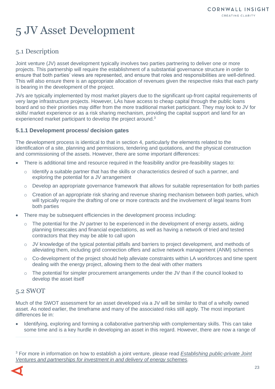# <span id="page-22-0"></span>5 JV Asset Development

## <span id="page-22-1"></span>5.1 Description

Joint venture (JV) asset development typically involves two parties partnering to deliver one or more projects. This partnership will require the establishment of a substantial governance structure in order to ensure that both parties' views are represented, and ensure that roles and responsibilities are well-defined. This will also ensure there is an appropriate allocation of revenues given the respective risks that each party is bearing in the development of the project.

JVs are typically implemented by most market players due to the significant up-front capital requirements of very large infrastructure projects. However, LAs have access to cheap capital through the public loans board and so their priorities may differ from the more traditional market participant. They may look to JV for skills/ market experience or as a risk sharing mechanism, providing the capital support and land for an experienced market participant to develop the project around.<sup>3</sup>

#### **5.1.1 Development process/ decision gates**

The development process is identical to that in section 4, particularly the elements related to the identification of a site, planning and permissions, tendering and quotations, and the physical construction and commissioning of the assets. However, there are some important differences:

- There is additional time and resource required in the feasibility and/or pre-feasibility stages to:
	- $\circ$  Identify a suitable partner that has the skills or characteristics desired of such a partner, and exploring the potential for a JV arrangement
	- $\circ$  Develop an appropriate governance framework that allows for suitable representation for both parties
	- $\circ$  Creation of an appropriate risk sharing and revenue sharing mechanism between both parties, which will typically require the drafting of one or more contracts and the involvement of legal teams from both parties
- There may be subsequent efficiencies in the development process including:
	- The potential for the JV partner to be experienced in the development of energy assets, aiding planning timescales and financial expectations, as well as having a network of tried and tested contractors that they may be able to call upon
	- o JV knowledge of the typical potential pitfalls and barriers to project development, and methods of alleviating them, including grid connection offers and active network management (ANM) schemes
	- $\circ$  Co-development of the project should help alleviate constraints within LA workforces and time spent dealing with the energy project, allowing them to the deal with other matters
	- $\circ$  The potential for simpler procurement arrangements under the JV than if the council looked to develop the asset itself

## <span id="page-22-2"></span>5.2 SWOT

Much of the SWOT assessment for an asset developed via a JV will be similar to that of a wholly owned asset. As noted earlier, the timeframe and many of the associated risks still apply. The most important differences lie in:

• Identifying, exploring and forming a collaborative partnership with complementary skills. This can take some time and is a key hurdle in developing an asset in this regard. However, there are now a range of

<sup>3</sup> For more in information on how to establish a joint venture, please read *[Establishing public-private Joint](https://www.uk100.org/wp-content/uploads/2019/05/Establishing-Local-Authority-JVs-for-Energy.pdf)  [Ventures and partnerships for investment in and delivery of energy schemes.](https://www.uk100.org/wp-content/uploads/2019/05/Establishing-Local-Authority-JVs-for-Energy.pdf)*

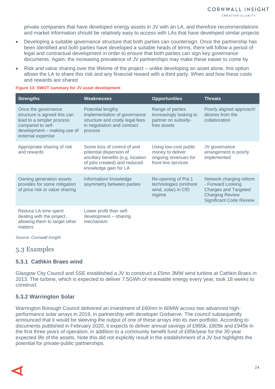private companies that have developed energy assets in JV with an LA, and therefore recommendations and market information should be relatively easy to access with LAs that have developed similar projects

- Developing a suitable governance structure that both parties can countersign. Once the partnership has been identified and both parties have developed a suitable heads of terms, there will follow a period of legal and contractual development in order to ensure that both parties can sign key governance documents. Again, the increasing prevalence of JV partnerships may make these easier to come by
- Risk and value sharing over the lifetime of the project unlike developing an asset alone, this option allows the LA to share this risk and any financial reward with a third party. When and how these costs and rewards are shared

#### **Figure 13: SWOT summary for JV asset development**

| <b>Strengths</b>                                                                                                                                           | Weaknesses                                                                                                                                           | <b>Opportunities</b>                                                                     | <b>Threats</b>                                                                                                                          |
|------------------------------------------------------------------------------------------------------------------------------------------------------------|------------------------------------------------------------------------------------------------------------------------------------------------------|------------------------------------------------------------------------------------------|-----------------------------------------------------------------------------------------------------------------------------------------|
| Once the governance<br>structure is agreed this can<br>lead to a simpler process<br>compared to self-<br>development - making use of<br>external expertise | Potential lengthy<br>implementation of governance<br>structure and costly legal fees<br>in negotiation and contract<br>process                       | Range of parties<br>increasingly looking to<br>partner on subsidy-<br>free assets        | Poorly aligned approach/<br>desires from the<br>collaboration                                                                           |
| Appropriate sharing of risk<br>and rewards                                                                                                                 | Some loss of control of and<br>potential dispersion of<br>ancillary benefits (e.g. location<br>of jobs created) and reduced<br>knowledge gain for LA | Using low-cost public<br>money to deliver<br>ongoing revenues for<br>front-line services | JV governance<br>arrangement is poorly<br>implemented                                                                                   |
| Owning generation assets<br>provides for some mitigation<br>of price risk or value sharing                                                                 | Information/ knowledge<br>asymmetry between parties                                                                                                  | Re-opening of Pot 1<br>technologies (onshore<br>wind, solar) in CfD<br>regime            | Network charging reform<br>- Forward Looking<br><b>Charges and Targeted</b><br><b>Charging Review</b><br><b>Significant Code Review</b> |
| Reduce LA time spent<br>dealing with the project,<br>allowing them to target other                                                                         | Lower profit than self-<br>development - sharing<br>mechanism                                                                                        |                                                                                          |                                                                                                                                         |

*Source: Cornwall Insight*

#### <span id="page-23-0"></span>5.3 Examples

matters

#### **5.3.1 Cathkin Braes wind**

Glasgow City Council and SSE established a JV to construct a £5mn 3MW wind turbine at Cathkin Braes in 2013. The turbine, which is expected to deliver 7.5GWh of renewable energy every year, took 18 weeks to construct.

#### **5.3.2 Warrington Solar**

Warrington Borough Council delivered an investment of £60mn in 60MW across two advanced highperformance solar arrays in 2019, in partnership with developer Gridserve. The council subsequently announced that it would be sleeving the output of one of these arrays into its own portfolio. According to documents published in February 2020, it expects to deliver annual savings of £865k, £805k and £945k in the first three years of operation, in addition to a community benefit fund of £85k/year for the 30-year expected life of the assets. Note this did not explicitly result in the establishment of a JV but highlights the potential for private-public partnerships.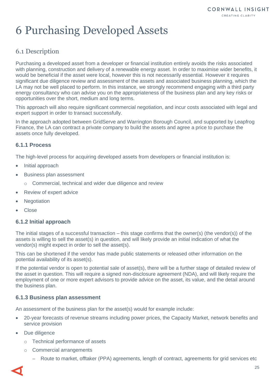# <span id="page-24-0"></span>6 Purchasing Developed Assets

## <span id="page-24-1"></span>6.1 Description

Purchasing a developed asset from a developer or financial institution entirely avoids the risks associated with planning, construction and delivery of a renewable energy asset. In order to maximise wider benefits, it would be beneficial if the asset were local, however this is not necessarily essential. However it requires significant due diligence review and assessment of the assets and associated business planning, which the LA may not be well placed to perform. In this instance, we strongly recommend engaging with a third party energy consultancy who can advise you on the appropriateness of the business plan and any key risks or opportunities over the short, medium and long terms.

This approach will also require significant commercial negotiation, and incur costs associated with legal and expert support in order to transact successfully.

In the approach adopted between GridServe and Warrington Borough Council, and supported by Leapfrog Finance, the LA can contract a private company to build the assets and agree a price to purchase the assets once fully developed.

#### **6.1.1 Process**

The high-level process for acquiring developed assets from developers or financial institution is:

- Initial approach
- Business plan assessment
	- o Commercial, technical and wider due diligence and review
- Review of expert advice
- **Negotiation**
- **Close**

#### **6.1.2 Initial approach**

The initial stages of a successful transaction – this stage confirms that the owner(s) (the vendor(s)) of the assets is willing to sell the asset(s) in question, and will likely provide an initial indication of what the vendor(s) might expect in order to sell the asset(s).

This can be shortened if the vendor has made public statements or released other information on the potential availability of its asset(s).

If the potential vendor is open to potential sale of asset(s), there will be a further stage of detailed review of the asset in question. This will require a signed non-disclosure agreement (NDA), and will likely require the employment of one or more expert advisors to provide advice on the asset, its value, and the detail around the business plan.

#### **6.1.3 Business plan assessment**

An assessment of the business plan for the asset(s) would for example include:

- 20-year forecasts of revenue streams including power prices, the Capacity Market, network benefits and service provision
- Due diligence
	- o Technical performance of assets
	- o Commercial arrangements
		- Route to market, offtaker (PPA) agreements, length of contract, agreements for grid services etc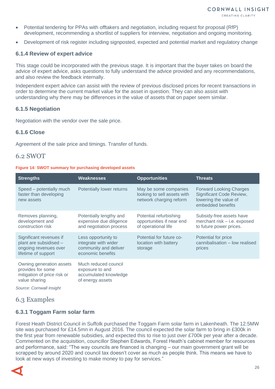- Potential tendering for PPAs with offtakers and negotiation, including request for proposal (RfP) development, recommending a shortlist of suppliers for interview, negotiation and ongoing monitoring.
- Development of risk register including signposted, expected and potential market and regulatory change

#### **6.1.4 Review of expert advice**

This stage could be incorporated with the previous stage. It is important that the buyer takes on board the advice of expert advice, asks questions to fully understand the advice provided and any recommendations, and also review the feedback internally.

Independent expert advice can assist with the review of previous disclosed prices for recent transactions in order to determine the current market value for the asset in question. They can also assist with understanding why there may be differences in the value of assets that on paper seem similar.

#### **6.1.5 Negotiation**

Negotiation with the vendor over the sale price.

#### **6.1.6 Close**

Agreement of the sale price and timings. Transfer of funds.

#### <span id="page-25-0"></span>6.2 SWOT

#### **Figure 14: SWOT summary for purchasing developed assets**

| <b>Strengths</b>                                                                                  | Weaknesses                                                                                | <b>Opportunities</b>                                                            | <b>Threats</b>                                                                                           |
|---------------------------------------------------------------------------------------------------|-------------------------------------------------------------------------------------------|---------------------------------------------------------------------------------|----------------------------------------------------------------------------------------------------------|
| Speed – potentially much<br>faster than developing<br>new assets                                  | Potentially lower returns                                                                 | May be some companies<br>looking to sell assets with<br>network charging reform | <b>Forward Looking Charges</b><br>Significant Code Review,<br>lowering the value of<br>embedded benefits |
| Removes planning,<br>development and<br>construction risk                                         | Potentially lengthy and<br>expensive due diligence<br>and negotiation process             | Potential refurbishing<br>opportunities if near end<br>of operational life      | Subsidy-free assets have<br>merchant risk - i.e. exposed<br>to future power prices.                      |
| Significant revenues if<br>plant are subsidised -<br>ongoing revenues over<br>lifetime of support | Less opportunity to<br>integrate with wider<br>community and deliver<br>economic benefits | Potential for future co-<br>location with battery<br>storage                    | Potential for price<br>cannibalisation - low realised<br>prices                                          |
| Owning generation assets<br>provides for some<br>mitigation of price risk or<br>value sharing     | Much reduced council<br>exposure to and<br>accumulated knowledge<br>of energy assets      |                                                                                 |                                                                                                          |

*Source: Cornwall Insight*

## <span id="page-25-1"></span>6.3 Examples

#### **6.3.1 Toggam Farm solar farm**

Forest Heath District Council in Suffolk purchased the Toggam Farm solar farm in Lakenheath. The 12.5MW site was purchased for £14.5mn in August 2016. The council expected the solar farm to bring in £300k in the first year from renewable subsidies, and expected this to rise to just over £700k per year after a decade. Commented on the acquisition, councillor Stephen Edwards, Forest Heath's cabinet member for resources and performance, said: "The way councils are financed is changing – our main government grant will be scrapped by around 2020 and council tax doesn't cover as much as people think. This means we have to look at new ways of investing to make money to pay for services."

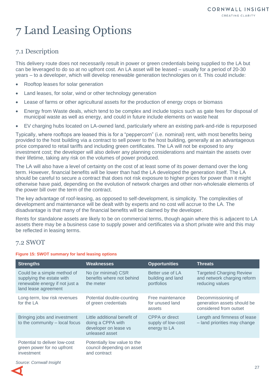# <span id="page-26-0"></span>7 Land Leasing Options

## <span id="page-26-1"></span>7.1 Description

This delivery route does not necessarily result in power or green credentials being supplied to the LA but can be leveraged to do so at no upfront cost. An LA asset will be leased – usually for a period of 20-30 years – to a developer, which will develop renewable generation technologies on it. This could include:

- Rooftop leases for solar generation
- Land leases, for solar, wind or other technology generation
- Lease of farms or other agricultural assets for the production of energy crops or biomass
- Energy from Waste deals, which tend to be complex and include topics such as gate fees for disposal of municipal waste as well as energy, and could in future include elements on waste heat
- EV charging hubs located on LA-owned land, particularly where an existing park-and-ride is repurposed

Typically, where rooftops are leased this is for a "peppercorn" (i.e. nominal) rent, with most benefits being provided to the host building via a contract to sell power to the host building, generally at an advantageous price compared to retail tariffs and including green certificates. The LA will not be exposed to any investment cost; the developer will also deliver any planning considerations and maintain the assets over their lifetime, taking any risk on the volumes of power produced.

The LA will also have a level of certainty on the cost of at least some of its power demand over the long term. However, financial benefits will be lower than had the LA developed the generation itself. The LA should be careful to secure a contract that does not risk exposure to higher prices for power than it might otherwise have paid, depending on the evolution of network charges and other non-wholesale elements of the power bill over the term of the contract.

The key advantage of roof-leasing, as opposed to self-development, is simplicity. The complexities of development and maintenance will be dealt with by experts and no cost will accrue to the LA. The disadvantage is that many of the financial benefits will be claimed by the developer.

Rents for standalone assets are likely to be on commercial terms, though again where this is adjacent to LA assets there may be a business case to supply power and certificates via a short private wire and this may be reflected in leasing terms.

## <span id="page-26-2"></span>7.2 SWOT

#### **Figure 15: SWOT summary for land leasing options**

| <b>Strengths</b>                                                                                                   | Weaknesses                                                                                   | <b>Opportunities</b>                                 | Threats                                                                           |
|--------------------------------------------------------------------------------------------------------------------|----------------------------------------------------------------------------------------------|------------------------------------------------------|-----------------------------------------------------------------------------------|
| Could be a simple method of<br>supplying the estate with<br>renewable energy if not just a<br>land lease agreement | No (or minimal) CSR<br>benefits where not behind<br>the meter                                | Better use of LA<br>building and land<br>portfolios  | <b>Targeted Charging Review</b><br>and network charging reform<br>reducing values |
| Long-term, low risk revenues<br>for the LA                                                                         | Potential double-counting<br>of green credentials                                            | Free maintenance<br>for unused land<br>assets        | Decommissioning of<br>generation assets should be<br>considered from outset       |
| Bringing jobs and investment<br>to the community - local focus                                                     | Little additional benefit of<br>doing a CPPA with<br>developer on lease vs<br>unleased asset | CPPA or direct<br>supply of low-cost<br>energy to LA | Length and firmness of lease<br>- land priorities may change                      |
| Potential to deliver low-cost<br>green power for no upfront<br>investment                                          | Potentially low value to the<br>council depending on asset<br>and contract                   |                                                      |                                                                                   |

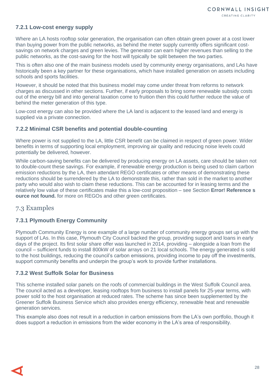#### **7.2.1 Low-cost energy supply**

Where an LA hosts rooftop solar generation, the organisation can often obtain green power at a cost lower than buying power from the public networks, as behind the meter supply currently offers significant costsavings on network charges and green levies. The generator can earn higher revenues than selling to the public networks, as the cost-saving for the host will typically be split between the two parties.

This is often also one of the main business models used by community energy organisations, and LAs have historically been a key partner for these organisations, which have installed generation on assets including schools and sports facilities.

However, it should be noted that this business model may come under threat from reforms to network charges as discussed in other sections. Further, if early proposals to bring some renewable subsidy costs out of the energy bill and into general taxation come to fruition then this could further reduce the value of behind the meter generation of this type.

Low-cost energy can also be provided where the LA land is adjacent to the leased land and energy is supplied via a private connection.

#### **7.2.2 Minimal CSR benefits and potential double-counting**

Where power is not supplied to the LA, little CSR benefit can be claimed in respect of green power. Wider benefits in terms of supporting local employment, improving air quality and reducing noise levels could potentially be delivered, however.

While carbon-saving benefits can be delivered by producing energy on LA assets, care should be taken not to double-count these savings. For example, if renewable energy production is being used to claim carbon emission reductions by the LA, then attendant REGO certificates or other means of demonstrating these reductions should be surrendered by the LA to demonstrate this, rather than sold in the market to another party who would also wish to claim these reductions. This can be accounted for in leasing terms and the relatively low value of these certificates make this a low-cost proposition – see Section **Error! Reference s ource not found.** for more on REGOs and other green certificates.

## <span id="page-27-0"></span>7.3 Examples

### **7.3.1 Plymouth Energy Community**

Plymouth Community Energy is one example of a large number of community energy groups set up with the support of LAs. In this case, Plymouth City Council backed the group, providing support and loans in early days of the project. Its first solar share offer was launched in 2014, providing – alongside a loan from the council – sufficient funds to install 800kW of solar arrays on 21 local schools. The energy generated is sold to the host buildings, reducing the council's carbon emissions, providing income to pay off the investments, support community benefits and underpin the group's work to provide further installations.

#### **7.3.2 West Suffolk Solar for Business**

This scheme installed solar panels on the roofs of commercial buildings in the West Suffolk Council area. The council acted as a developer, leasing rooftops from business to install panels for 25-year terms, with power sold to the host organisation at reduced rates. The scheme has since been supplemented by the Greener Suffolk Business Service which also provides energy efficiency, renewable heat and renewable generation services.

This example also does not result in a reduction in carbon emissions from the LA's own portfolio, though it does support a reduction in emissions from the wider economy in the LA's area of responsibility.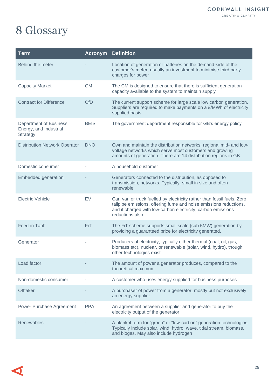# <span id="page-28-0"></span>8 Glossary

| <b>Term</b>                                                          | <b>Acronym</b> | <b>Definition</b>                                                                                                                                                                                                               |
|----------------------------------------------------------------------|----------------|---------------------------------------------------------------------------------------------------------------------------------------------------------------------------------------------------------------------------------|
| Behind the meter                                                     |                | Location of generation or batteries on the demand-side of the<br>customer's meter, usually an investment to minimise third party<br>charges for power                                                                           |
| <b>Capacity Market</b>                                               | <b>CM</b>      | The CM is designed to ensure that there is sufficient generation<br>capacity available to the system to maintain supply                                                                                                         |
| <b>Contract for Difference</b>                                       | <b>CfD</b>     | The current support scheme for large scale low carbon generation.<br>Suppliers are required to make payments on a £/MWh of electricity<br>supplied basis.                                                                       |
| Department of Business,<br>Energy, and Industrial<br><b>Strategy</b> | <b>BEIS</b>    | The government department responsible for GB's energy policy                                                                                                                                                                    |
| <b>Distribution Network Operator</b>                                 | <b>DNO</b>     | Own and maintain the distribution networks: regional mid- and low-<br>voltage networks which serve most customers and growing<br>amounts of generation. There are 14 distribution regions in GB                                 |
| Domestic consumer                                                    |                | A household customer                                                                                                                                                                                                            |
| <b>Embedded generation</b>                                           |                | Generators connected to the distribution, as opposed to<br>transmission, networks. Typically, small in size and often<br>renewable                                                                                              |
| <b>Electric Vehicle</b>                                              | EV             | Car, van or truck fuelled by electricity rather than fossil fuels. Zero<br>tailpipe emissions, offering fume and noise emissions reductions,<br>and if charged with low-carbon electricity, carbon emissions<br>reductions also |
| <b>Feed-in Tariff</b>                                                | <b>FiT</b>     | The FiT scheme supports small scale (sub 5MW) generation by<br>providing a guaranteed price for electricity generated.                                                                                                          |
| Generator                                                            |                | Producers of electricity, typically either thermal (coal, oil, gas,<br>biomass etc), nuclear, or renewable (solar, wind, hydro), though<br>other technologies exist                                                             |
| Load factor                                                          |                | The amount of power a generator produces, compared to the<br>theoretical maximum                                                                                                                                                |
| Non-domestic consumer                                                |                | A customer who uses energy supplied for business purposes                                                                                                                                                                       |
| <b>Offtaker</b>                                                      |                | A purchaser of power from a generator, mostly but not exclusively<br>an energy supplier                                                                                                                                         |
| Power Purchase Agreement                                             | <b>PPA</b>     | An agreement between a supplier and generator to buy the<br>electricity output of the generator                                                                                                                                 |
| Renewables                                                           |                | A blanket term for "green" or "low-carbon" generation technologies.<br>Typically include solar, wind, hydro, wave, tidal stream, biomass,<br>and biogas. May also include hydrogen                                              |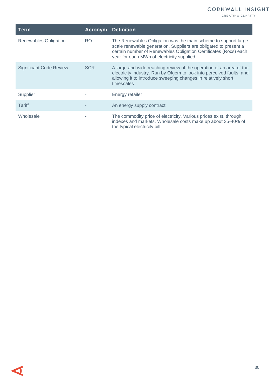CREATING CLARITY

| Term                           | <b>Acronym</b> | <b>Definition</b>                                                                                                                                                                                                                                    |
|--------------------------------|----------------|------------------------------------------------------------------------------------------------------------------------------------------------------------------------------------------------------------------------------------------------------|
| <b>Renewables Obligation</b>   | RO.            | The Renewables Obligation was the main scheme to support large<br>scale renewable generation. Suppliers are obligated to present a<br>certain number of Renewables Obligation Certificates (Rocs) each<br>year for each MWh of electricity supplied. |
| <b>Significant Code Review</b> | <b>SCR</b>     | A large and wide reaching review of the operation of an area of the<br>electricity industry. Run by Ofgem to look into perceived faults, and<br>allowing it to introduce sweeping changes in relatively short<br>timescales                          |
| Supplier                       |                | Energy retailer                                                                                                                                                                                                                                      |
| Tariff                         |                | An energy supply contract                                                                                                                                                                                                                            |
| Wholesale                      |                | The commodity price of electricity. Various prices exist, through<br>indexes and markets. Wholesale costs make up about 35-40% of<br>the typical electricity bill                                                                                    |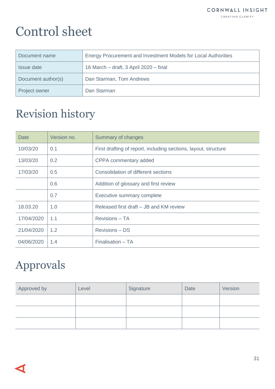# Control sheet

| Document name      | Energy Procurement and Investment Models for Local Authorities |
|--------------------|----------------------------------------------------------------|
| Issue date         | 16 March - draft, 3 April 2020 - final                         |
| Document author(s) | Dan Starman, Tom Andrews                                       |
| Project owner      | Dan Starman                                                    |

# <span id="page-30-0"></span>Revision history

| <b>Date</b> | Version no. | Summary of changes                                              |
|-------------|-------------|-----------------------------------------------------------------|
| 10/03/20    | 0.1         | First drafting of report, including sections, layout, structure |
| 13/03/20    | 0.2         | CPPA commentary added                                           |
| 17/03/20    | 0.5         | Consolidation of different sections                             |
|             | 0.6         | Addition of glossary and first review                           |
|             | 0.7         | Executive summary complete                                      |
| 18.03.20    | 1.0         | Released first draft – JB and KM review                         |
| 17/04/2020  | 1.1         | <b>Revisions - TA</b>                                           |
| 21/04/2020  | 1.2         | <b>Revisions - DS</b>                                           |
| 04/06/2020  | 1.4         | Finalisation - TA                                               |

## <span id="page-30-1"></span>Approvals

| Approved by | Level | Signature | Date | Version |
|-------------|-------|-----------|------|---------|
|             |       |           |      |         |
|             |       |           |      |         |
|             |       |           |      |         |